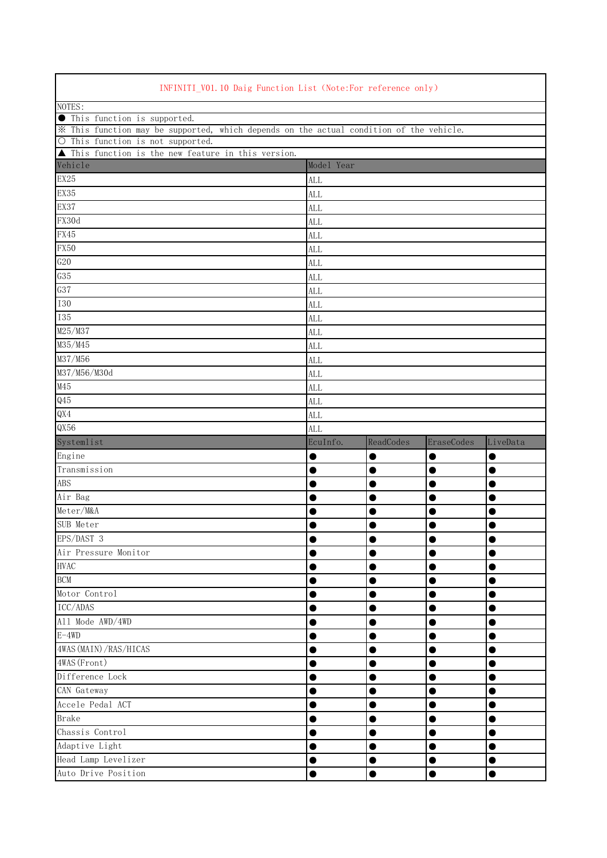| INFINITI_V01.10 Daig Function List (Note:For reference only)                            |                                                                    |                |                |                        |  |  |  |
|-----------------------------------------------------------------------------------------|--------------------------------------------------------------------|----------------|----------------|------------------------|--|--|--|
| NOTES:                                                                                  |                                                                    |                |                |                        |  |  |  |
| <b>•</b> This function is supported.                                                    |                                                                    |                |                |                        |  |  |  |
| * This function may be supported, which depends on the actual condition of the vehicle. |                                                                    |                |                |                        |  |  |  |
| O This function is not supported.                                                       |                                                                    |                |                |                        |  |  |  |
|                                                                                         | $\blacktriangle$ This function is the new feature in this version. |                |                |                        |  |  |  |
| Vehicle                                                                                 | Model Year                                                         |                |                |                        |  |  |  |
| EX25                                                                                    | <b>ALL</b>                                                         |                |                |                        |  |  |  |
| EX35                                                                                    | <b>ALL</b>                                                         |                |                |                        |  |  |  |
| EX37                                                                                    | <b>ALL</b>                                                         |                |                |                        |  |  |  |
| FX30d                                                                                   | <b>ALL</b>                                                         |                |                |                        |  |  |  |
| FX45                                                                                    | <b>ALL</b>                                                         |                |                |                        |  |  |  |
| <b>FX50</b>                                                                             | ALL                                                                |                |                |                        |  |  |  |
| G20                                                                                     | <b>ALL</b>                                                         |                |                |                        |  |  |  |
| G35                                                                                     | <b>ALL</b>                                                         |                |                |                        |  |  |  |
| G37                                                                                     | ALL                                                                |                |                |                        |  |  |  |
| <b>I30</b>                                                                              | <b>ALL</b>                                                         |                |                |                        |  |  |  |
| <b>I35</b>                                                                              | <b>ALL</b>                                                         |                |                |                        |  |  |  |
| M25/M37                                                                                 | <b>ALL</b>                                                         |                |                |                        |  |  |  |
| M35/M45                                                                                 | <b>ALL</b>                                                         |                |                |                        |  |  |  |
| M37/M56                                                                                 | <b>ALL</b>                                                         |                |                |                        |  |  |  |
| M37/M56/M30d                                                                            | <b>ALL</b>                                                         |                |                |                        |  |  |  |
| M45                                                                                     | <b>ALL</b>                                                         |                |                |                        |  |  |  |
| Q45                                                                                     | ALL                                                                |                |                |                        |  |  |  |
| QX4                                                                                     | <b>ALL</b>                                                         |                |                |                        |  |  |  |
| QX56                                                                                    | <b>ALL</b>                                                         |                |                |                        |  |  |  |
|                                                                                         |                                                                    |                |                |                        |  |  |  |
|                                                                                         | EcuInfo.                                                           | ReadCodes      | EraseCodes     | LiveData               |  |  |  |
| Systemlist<br>Engine                                                                    | 0                                                                  | ●              | $\bullet$      | $\bullet$              |  |  |  |
| Transmission                                                                            | O                                                                  | O              | 0              | 0                      |  |  |  |
|                                                                                         | $\bullet$                                                          | ●              | ●              |                        |  |  |  |
| <b>ABS</b>                                                                              |                                                                    |                |                | $\bullet$              |  |  |  |
| Air Bag                                                                                 |                                                                    |                |                | O                      |  |  |  |
| Meter/M&A                                                                               |                                                                    |                |                |                        |  |  |  |
| SUB Meter                                                                               |                                                                    |                |                |                        |  |  |  |
| EPS/DAST 3                                                                              | $\bullet$                                                          | $\bullet$      | $\bullet$      | $\bullet$              |  |  |  |
| Air Pressure Monitor                                                                    | ●                                                                  | $\bullet$      | 0              | 0                      |  |  |  |
| <b>HVAC</b>                                                                             | 0                                                                  | $\bullet$      |                | $\bullet$              |  |  |  |
| <b>BCM</b>                                                                              |                                                                    | ●              |                | $\bullet$              |  |  |  |
| Motor Control                                                                           |                                                                    | $\bullet$      | $\bullet$      | $\bullet$              |  |  |  |
| ICC/ADAS                                                                                |                                                                    | ●              | $\bullet$      | $\bullet$              |  |  |  |
| All Mode AWD/4WD                                                                        | D                                                                  | 0              | $\bullet$      |                        |  |  |  |
| $E-4WD$                                                                                 |                                                                    |                |                |                        |  |  |  |
| 4WAS (MAIN) / RAS/HICAS                                                                 | 0                                                                  | 0              | 0              |                        |  |  |  |
| 4WAS (Front)                                                                            |                                                                    | 0              | ●              | $\bullet$              |  |  |  |
| Difference Lock                                                                         |                                                                    | 0              | 0              | 0                      |  |  |  |
| CAN Gateway                                                                             |                                                                    | ●              | ●              | $\bullet$              |  |  |  |
| Accele Pedal ACT                                                                        | 0                                                                  | $\bullet$      | $\bullet$      | $\bullet$              |  |  |  |
| <b>Brake</b>                                                                            |                                                                    | ●              | 0              | $\bullet$              |  |  |  |
| Chassis Control                                                                         |                                                                    | 0              | 0              | $\bullet$              |  |  |  |
| Adaptive Light                                                                          | 0                                                                  | $\bullet$      | $\bullet$      | $\bullet$              |  |  |  |
| Head Lamp Levelizer<br>Auto Drive Position                                              | 0<br>0                                                             | 0<br>$\bullet$ | 0<br>$\bullet$ | $\bullet$<br>$\bullet$ |  |  |  |